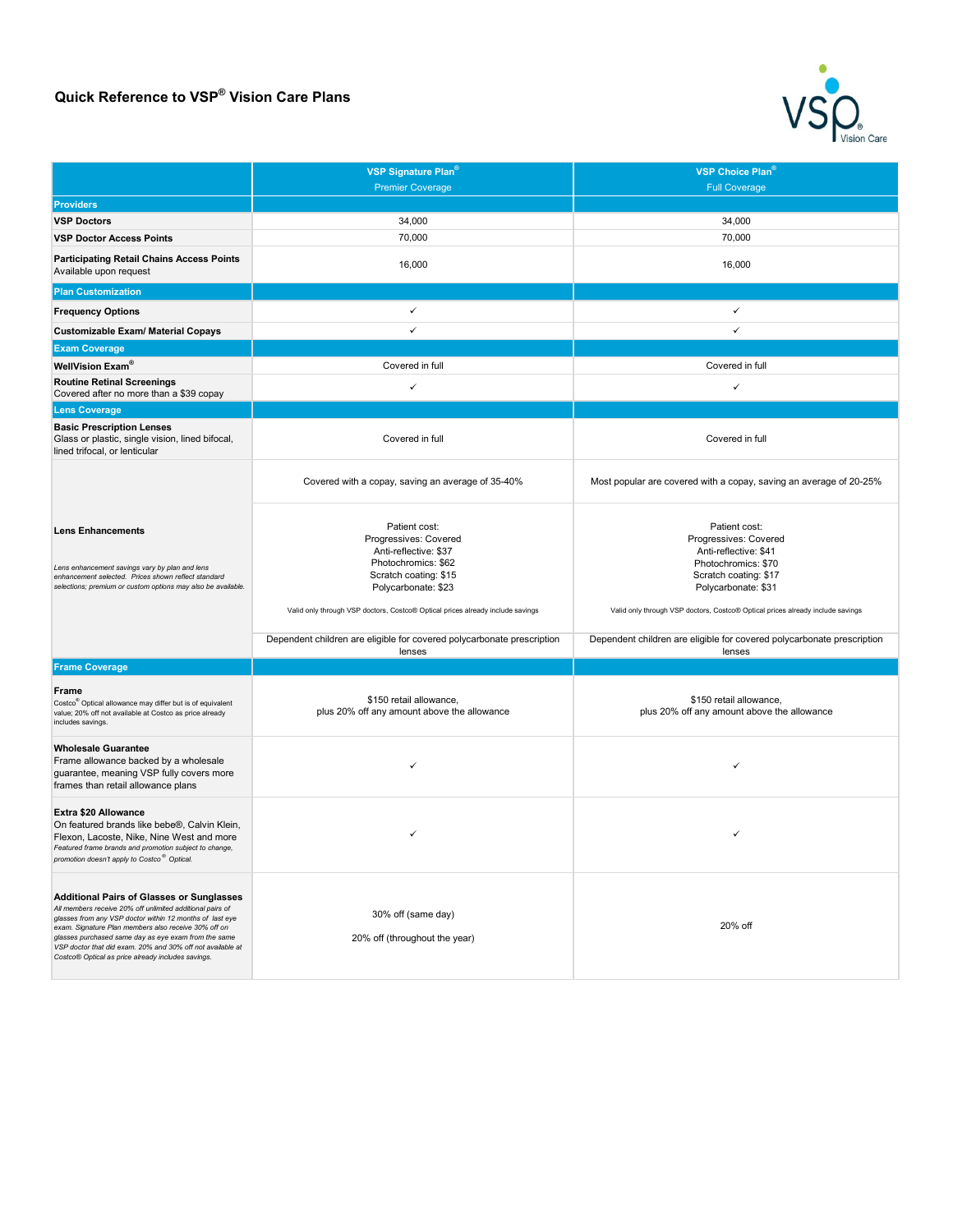## **Quick Reference to VSP® Vision Care Plans**



|                                                                                                                                                                                                                                                                                                                                                                                                               | VSP Signature Plan <sup>®</sup>                                                                                                                                                                                          | VSP Choice Plan <sup>®</sup>                                                                                                                                                                                             |
|---------------------------------------------------------------------------------------------------------------------------------------------------------------------------------------------------------------------------------------------------------------------------------------------------------------------------------------------------------------------------------------------------------------|--------------------------------------------------------------------------------------------------------------------------------------------------------------------------------------------------------------------------|--------------------------------------------------------------------------------------------------------------------------------------------------------------------------------------------------------------------------|
|                                                                                                                                                                                                                                                                                                                                                                                                               | <b>Premier Coverage</b>                                                                                                                                                                                                  | <b>Full Coverage</b>                                                                                                                                                                                                     |
| <b>Providers</b>                                                                                                                                                                                                                                                                                                                                                                                              |                                                                                                                                                                                                                          |                                                                                                                                                                                                                          |
| <b>VSP Doctors</b>                                                                                                                                                                                                                                                                                                                                                                                            | 34,000                                                                                                                                                                                                                   | 34,000                                                                                                                                                                                                                   |
| <b>VSP Doctor Access Points</b>                                                                                                                                                                                                                                                                                                                                                                               | 70,000                                                                                                                                                                                                                   | 70,000                                                                                                                                                                                                                   |
| <b>Participating Retail Chains Access Points</b><br>Available upon request                                                                                                                                                                                                                                                                                                                                    | 16,000                                                                                                                                                                                                                   | 16,000                                                                                                                                                                                                                   |
| <b>Plan Customization</b>                                                                                                                                                                                                                                                                                                                                                                                     |                                                                                                                                                                                                                          |                                                                                                                                                                                                                          |
| <b>Frequency Options</b>                                                                                                                                                                                                                                                                                                                                                                                      | ✓                                                                                                                                                                                                                        | $\checkmark$                                                                                                                                                                                                             |
| <b>Customizable Exam/ Material Copays</b>                                                                                                                                                                                                                                                                                                                                                                     | $\checkmark$                                                                                                                                                                                                             | $\checkmark$                                                                                                                                                                                                             |
| <b>Exam Coverage</b>                                                                                                                                                                                                                                                                                                                                                                                          |                                                                                                                                                                                                                          |                                                                                                                                                                                                                          |
| WellVision Exam®                                                                                                                                                                                                                                                                                                                                                                                              | Covered in full                                                                                                                                                                                                          | Covered in full                                                                                                                                                                                                          |
| <b>Routine Retinal Screenings</b><br>Covered after no more than a \$39 copay                                                                                                                                                                                                                                                                                                                                  | ✓                                                                                                                                                                                                                        | ✓                                                                                                                                                                                                                        |
| <b>Lens Coverage</b>                                                                                                                                                                                                                                                                                                                                                                                          |                                                                                                                                                                                                                          |                                                                                                                                                                                                                          |
| <b>Basic Prescription Lenses</b><br>Glass or plastic, single vision, lined bifocal,<br>lined trifocal, or lenticular                                                                                                                                                                                                                                                                                          | Covered in full                                                                                                                                                                                                          | Covered in full                                                                                                                                                                                                          |
|                                                                                                                                                                                                                                                                                                                                                                                                               | Covered with a copay, saving an average of 35-40%                                                                                                                                                                        | Most popular are covered with a copay, saving an average of 20-25%                                                                                                                                                       |
| <b>Lens Enhancements</b><br>Lens enhancement savings vary by plan and lens<br>enhancement selected. Prices shown reflect standard<br>selections; premium or custom options may also be available.                                                                                                                                                                                                             | Patient cost:<br>Progressives: Covered<br>Anti-reflective: \$37<br>Photochromics: \$62<br>Scratch coating: \$15<br>Polycarbonate: \$23<br>Valid only through VSP doctors, Costco® Optical prices already include savings | Patient cost:<br>Progressives: Covered<br>Anti-reflective: \$41<br>Photochromics: \$70<br>Scratch coating: \$17<br>Polycarbonate: \$31<br>Valid only through VSP doctors, Costco® Optical prices already include savings |
|                                                                                                                                                                                                                                                                                                                                                                                                               | Dependent children are eligible for covered polycarbonate prescription                                                                                                                                                   | Dependent children are eligible for covered polycarbonate prescription                                                                                                                                                   |
| <b>Frame Coverage</b>                                                                                                                                                                                                                                                                                                                                                                                         | lenses                                                                                                                                                                                                                   | lenses                                                                                                                                                                                                                   |
| Frame<br>Costco <sup>®</sup> Optical allowance may differ but is of equivalent<br>value; 20% off not available at Costco as price already<br>includes savings.                                                                                                                                                                                                                                                | \$150 retail allowance,<br>plus 20% off any amount above the allowance                                                                                                                                                   | \$150 retail allowance,<br>plus 20% off any amount above the allowance                                                                                                                                                   |
| <b>Wholesale Guarantee</b><br>Frame allowance backed by a wholesale<br>guarantee, meaning VSP fully covers more<br>frames than retail allowance plans                                                                                                                                                                                                                                                         |                                                                                                                                                                                                                          |                                                                                                                                                                                                                          |
| Extra \$20 Allowance<br>On featured brands like bebe®, Calvin Klein,<br>Flexon, Lacoste, Nike, Nine West and more<br>Featured frame brands and promotion subject to change,<br>promotion doesn't apply to Costco <sup>®</sup> Optical.                                                                                                                                                                        | ✓                                                                                                                                                                                                                        | ✓                                                                                                                                                                                                                        |
| <b>Additional Pairs of Glasses or Sunglasses</b><br>All members receive 20% off unlimited additional pairs of<br>glasses from any VSP doctor within 12 months of last eye<br>exam. Signature Plan members also receive 30% off on<br>glasses purchased same day as eye exam from the same<br>VSP doctor that did exam. 20% and 30% off not available at<br>Costco® Optical as price already includes savings. | 30% off (same day)<br>20% off (throughout the year)                                                                                                                                                                      | 20% off                                                                                                                                                                                                                  |